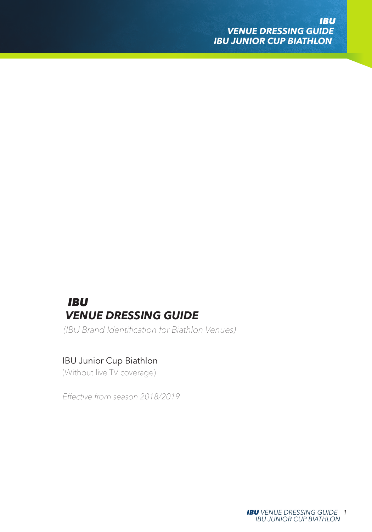# *IBU VENUE DRESSING GUIDE*

*(IBU Brand Identification for Biathlon Venues)*

## IBU Junior Cup Biathlon

*(Without live TV coverage)*

*Effective from season 2018/2019*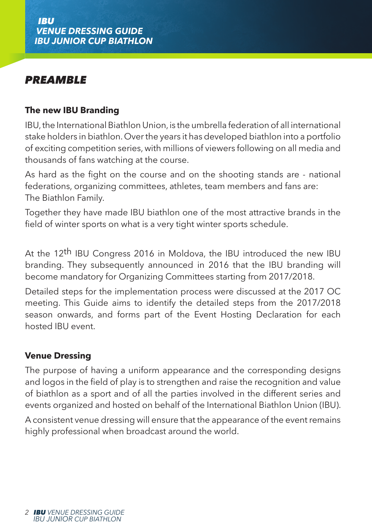# *PREAMBLE*

### **The new IBU Branding**

IBU, the International Biathlon Union, is the umbrella federation of all international stake holders in biathlon. Over the years it has developed biathlon into a portfolio of exciting competition series, with millions of viewers following on all media and thousands of fans watching at the course.

As hard as the fight on the course and on the shooting stands are - national federations, organizing committees, athletes, team members and fans are: The Biathlon Family.

Together they have made IBU biathlon one of the most attractive brands in the field of winter sports on what is a very tight winter sports schedule.

At the 12th IBU Congress 2016 in Moldova, the IBU introduced the new IBU branding. They subsequently announced in 2016 that the IBU branding will become mandatory for Organizing Committees starting from 2017/2018.

Detailed steps for the implementation process were discussed at the 2017 OC meeting. This Guide aims to identify the detailed steps from the 2017/2018 season onwards, and forms part of the Event Hosting Declaration for each hosted IBU event.

### **Venue Dressing**

The purpose of having a uniform appearance and the corresponding designs and logos in the field of play is to strengthen and raise the recognition and value of biathlon as a sport and of all the parties involved in the different series and events organized and hosted on behalf of the International Biathlon Union (IBU).

A consistent venue dressing will ensure that the appearance of the event remains highly professional when broadcast around the world.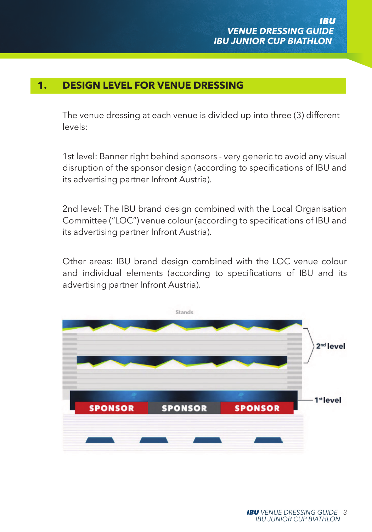## **1. DESIGN LEVEL FOR VENUE DRESSING**

The venue dressing at each venue is divided up into three (3) different levels:

1st level: Banner right behind sponsors - very generic to avoid any visual disruption of the sponsor design (according to specifications of IBU and its advertising partner Infront Austria).

2nd level: The IBU brand design combined with the Local Organisation Committee ("LOC") venue colour (according to specifications of IBU and its advertising partner Infront Austria).

Other areas: IBU brand design combined with the LOC venue colour and individual elements (according to specifications of IBU and its advertising partner Infront Austria).

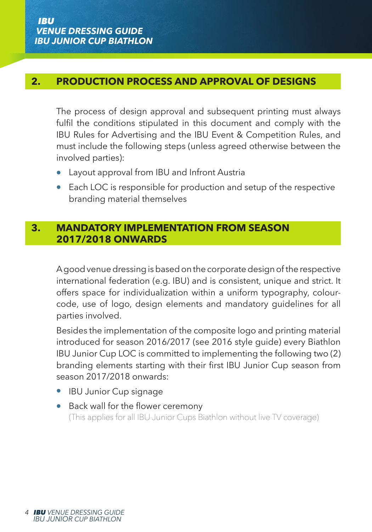### **2. PRODUCTION PROCESS AND APPROVAL OF DESIGNS**

The process of design approval and subsequent printing must always fulfil the conditions stipulated in this document and comply with the IBU Rules for Advertising and the IBU Event & Competition Rules, and must include the following steps (unless agreed otherwise between the involved parties):

- Layout approval from IBU and Infront Austria
- Each LOC is responsible for production and setup of the respective branding material themselves

### **3. MANDATORY IMPLEMENTATION FROM SEASON 2017/2018 ONWARDS**

A good venue dressing is based on the corporate design of the respective international federation (e.g. IBU) and is consistent, unique and strict. It offers space for individualization within a uniform typography, colourcode, use of logo, design elements and mandatory guidelines for all parties involved.

Besides the implementation of the composite logo and printing material introduced for season 2016/2017 (see 2016 style guide) every Biathlon IBU Junior Cup LOC is committed to implementing the following two (2) branding elements starting with their first IBU Junior Cup season from season 2017/2018 onwards:

- IBU Junior Cup signage
- Back wall for the flower ceremony (This applies for all IBU Junior Cups Biathlon without live TV coverage)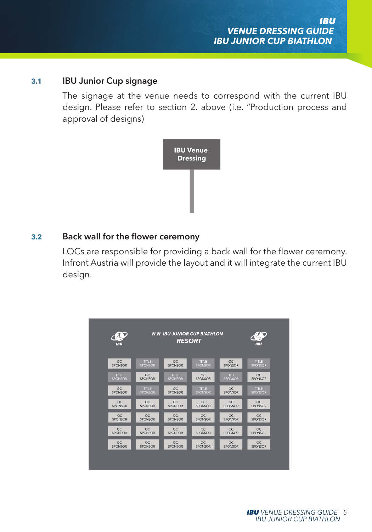#### **3.1 IBU Junior Cup signage**

The signage at the venue needs to correspond with the current IBU design. Please refer to section 2. above (i.e. "Production process and approval of designs)



#### **3.2 Back wall for the flower ceremony**

LOCs are responsible for providing a back wall for the flower ceremony. Infront Austria will provide the layout and it will integrate the current IBU design.

| イオリ            | <b>N.N. IBU JUNIOR CUP BIATHLON</b> |                |              |                | 7. L           |
|----------------|-------------------------------------|----------------|--------------|----------------|----------------|
| 1.31           | <b>RESORT</b>                       |                |              |                | <b>JBU</b>     |
| $\infty$       | <b>TITLE</b>                        | CC             | <b>TITLE</b> | OC.            | <b>TITLE</b>   |
| SPONSOR        | SPONSOR                             | SPONSOR        | SPONSOR      | SPONSOR        | SPONSOR        |
| TITLE.         | $\infty$                            | TITLE.         | $\infty$     | TITLE.         | $\infty$       |
| <b>SPONSOR</b> | <b>SPONSOR</b>                      | <b>SPONSOR</b> | SPONSOR      | <b>SPONSOR</b> | SPONSOR        |
| $\infty$       | <b>TITLE</b>                        | $\alpha$       | <b>TITLE</b> | OC             | <b>TITLE</b>   |
| SPONSOR        | SPONSOR                             | SPONSOR        | SPONSOR      | SPONSOR        | <b>SPONSOR</b> |
| CC             | $\infty$                            | CC             | $\infty$     | CC             | $\infty$       |
| SPONSOR        | SPONSOR                             | SPONSOR        | SPONSOR      | SPONSOR        | <b>SPONSOR</b> |
| OC             | $\infty$                            | $\alpha$       | $\infty$     | OC             | $\infty$       |
| SPONSOR        | SPONSOR                             | SPONSOR        | SPONSOR      | SPONSOR        | SPONSOR        |
| $\alpha$       | $\infty$                            | $\infty$       | $\infty$     | $\alpha$       | $\infty$       |
| SPONSOR        | SPONSOR                             | SPONSOR        | SPONSOR      | SPONSOR        | SPONSOR        |
| $\infty$       | $\infty$                            | $\alpha$       | $\alpha$     | OC             | $\infty$       |
| SPONSOR        | <b>SPONSOR</b>                      | SPONSOR        | SPONSOR      | SPONSOR        | <b>SPONSOR</b> |
|                |                                     |                |              |                |                |